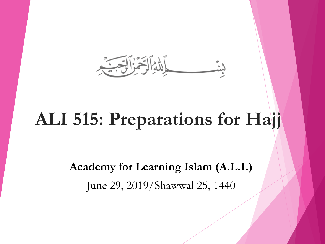**ِّ لَلْهُ اَلْحَمْزَالَّذِ بِ** 

## **ALI 515: Preparations for Hajj**

**Academy for Learning Islam (A.L.I.)** June 29, 2019/Shawwal 25, 1440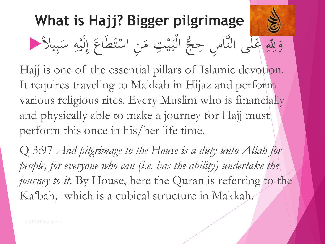#### **What is Hajj? Bigger pilgrimage** وَلِّهُ عَلَى النَّاسِ حِجٌّ الْبَيْتِ مَنِ اسْتَطَاعَ إِلَيْهِ سَبِيلاً ۖ  $\frac{1}{2}$ **ابر**<br>بو **ه**<br>يه  $\ddot{\cdot}$  $\int$  $\ddot{\phantom{0}}$  $\overline{a}$  $\int$ ا<br>ا <u>ا/</u> ه َلِل  $\overline{\overline{u}}$  $\ddot{\phantom{0}}$  $\overline{\phantom{0}}$  $\overline{4}$ **A** ه<br>يا <u>ل</u>'  $\int$  $\int\limits_{\mathcal{L}}$ إ  $\bigg\{$  $\overline{\phantom{a}}$ بر بود<br>م ا<br>ا ّ  $\lambda$

Hajj is one of the essential pillars of Islamic devotion. It requires traveling to Makkah in Hijaz and perform various religious rites. Every Muslim who is financially and physically able to make a journey for Hajj must perform this once in his/her life time.

Q 3:97 *And pilgrimage to the House is a duty unto Allah for people, for everyone who can (i.e. has the ability) undertake the journey to it*. By House, here the Quran is referring to the Ka'bah, which is a cubical structure in Makkah.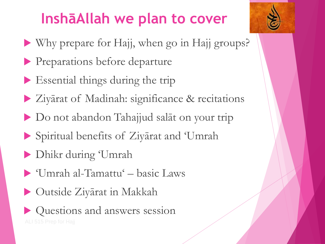### **InshāAllah we plan to cover**

- Why prepare for Hajj, when go in Hajj groups?
- **Preparations before departure**
- Essential things during the trip
- Ziyārat of Madinah: significance & recitations
- ▶ Do not abandon Tahajjud salāt on your trip
- Spiritual benefits of Ziyārat and 'Umrah
- Dhikr during 'Umrah
- 'Umrah al-Tamattu' basic Laws
- Outside Ziyārat in Makkah
- Questions and answers session

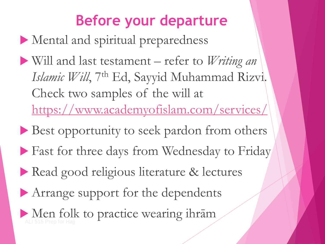#### **Before your departure**

- Mental and spiritual preparedness
- Will and last testament refer to *Writing an*  Islamic Will, 7<sup>th</sup> Ed, Sayyid Muhammad Rizvi. Check two samples of the will at <https://www.academyofislam.com/services/>
- Best opportunity to seek pardon from others
- Fast for three days from Wednesday to Friday
- Read good religious literature & lectures
- Arrange support for the dependents
- $\blacktriangleright$  Men folk to practice wearing ihram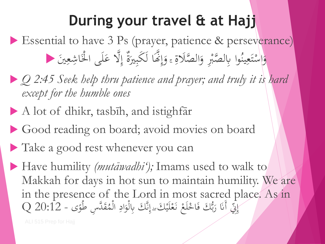#### **During your travel & at Hajj**

- Essential to have 3 Ps (prayer, patience & perseverance) وَاسْتَعِينُوا بِالصَّبْرِ وَالصَّلَاةِ ، وَإِنَّمَا لَكَبِيرَةٌ إِلَّا عَلَى الْخَاشِعِينَ ﴿ إ َ  $\ddot{\tilde{c}}$ َ ْ .<br>م  $\frac{1}{2}$ ن نذيلا ْ و<br>ا  $\ddot{\phantom{0}}$ .<br>و  $\sum$  $\int$ **ک** إ  $\frac{1}{2}$ بد
- *Q 2:45 Seek help thru patience and prayer; and truly it is hard except for the humble ones*
- A lot of dhikr, tasbīh, and istighfār
- Good reading on board; avoid movies on board
- Take a good rest whenever you can
- Have humility *(mutāwadhi');* Imams used to walk to Makkah for days in hot sun to maintain humility. We are in the presence of the Lord in most sacred place. As in إِنِّي أَنَا رَبُّكَ فَاخْلَعْ نَعْلَيْكَء إِنَّكَ بِالْوَادِ الْمُقَدَّسِ طُوًى - 20:12 Q بر<br>ز  $\int_{\Sigma}$ **ال** الم<br>المراجع .<br>. ة<br>. بڑھ<br>بار  $\overline{\phantom{a}}$ و<br>ر  $\ddot{\mathbf{z}}$ **△** م ال اد و </sub><br>أ  $\frac{1}{2}$ َ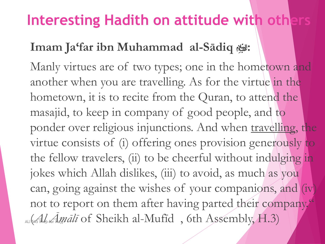#### **Interesting Hadith on attitude with others**

#### **Imam Ja'far ibn Muhammad al-Sādiq** a**:**

Manly virtues are of two types; one in the hometown and another when you are travelling. As for the virtue in the hometown, it is to recite from the Quran, to attend the masajid, to keep in company of good people, and to ponder over religious injunctions. And when travelling, the virtue consists of (i) offering ones provision generously to the fellow travelers, (ii) to be cheerful without indulging in jokes which Allah dislikes, (iii) to avoid, as much as you can, going against the wishes of your companions, and (iv) not to report on them after having parted their company." ALI GAS REP AGENER AND A SHOW A GRANGER And A SHOW A GRANGER (H. 3)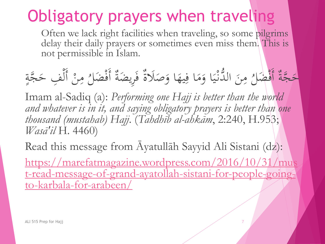## Obligatory prayers when traveling

Often we lack right facilities when traveling, so some pilgrims delay their daily prayers or sometimes even miss them. This is not permissible in Islam.

 $\frac{1}{\sqrt{2}}$ حَجَّةٌ أَفْضَلُ مِنَ الدَّنْيَا وَمَا فِيهَا وَصَلَاةٌ فَرِيضَةٌ أَفْضَلُ مِ  $\rightarrow$ **CONTROL** ا<br>ا َ َ  $\frac{1}{2}$  $\mathbf{A}$ و<br>ِ  $\frac{1}{2}$  $\frac{1}{2}$ ز<br>ن  $\ddot{\phantom{0}}$  $\mathbf{A}$  $\mathbf{A}$ <u>ا</u> ِّصَلَاةٌ فَرِيضَةٌ أَفْضَالُ مِنْ أَلْفِ حَجَّةٍ  $\rightarrow$ <u>ة</u><br>تا  $\rightarrow$ <u>ة</u>  $\overline{\phantom{a}}$  $\ddot{a}$  $\overline{\phantom{0}}$  $\int$ ل ْ

Imam al-Sadiq (a): *Performing one Hajj is better than the world and whatever is in it, and saying obligatory prayers is better than one thousand (mustahab) Hajj*. (*Tahdhīb al-ahkām*, 2:240, H.953; *Wasā'il* H. 4460)

Read this message from Āyatullāh Sayyid Ali Sistani (dz):

https://marefatmagazine.wordpress.com/2016/10/31/mus [t-read-message-of-grand-ayatollah-sistani-for-people-going](https://marefatmagazine.wordpress.com/2016/10/31/must-read-message-of-grand-ayatollah-sistani-for-people-going-to-karbala-for-arabeen/)to-karbala-for-arabeen/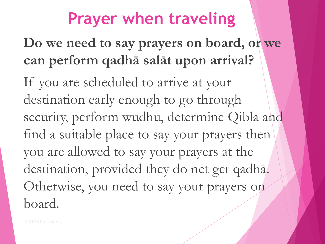## **Prayer when traveling**

**Do we need to say prayers on board, or we can perform qadhā salāt upon arrival?**

If you are scheduled to arrive at your destination early enough to go through security, perform wudhu, determine Qibla and find a suitable place to say your prayers then you are allowed to say your prayers at the destination, provided they do net get qadhā. Otherwise, you need to say your prayers on board.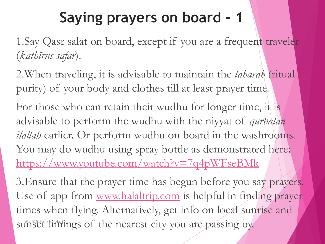1.Say Qasr salāt on board, except if you are a frequent traveler (*kathīrus safar*).

2.When traveling, it is advisable to maintain the *tahārah* (ritual purity) of your body and clothes till at least prayer time. For those who can retain their wudhu for longer time, it is advisable to perform the wudhu with the niyyat of *qurbatan ilallāh* earlier. Or perform wudhu on board in the washrooms. You may do wudhu using spray bottle as demonstrated here: <https://www.youtube.com/watch?v=7q4pWFseBMk>

3.Ensure that the prayer time has begun before you say prayers. Use of app from [www.halaltrip.com](http://www.halaltrip.com/) is helpful in finding prayer times when flying. Alternatively, get info on local sunrise and sunset timings of the nearest city you are passing by.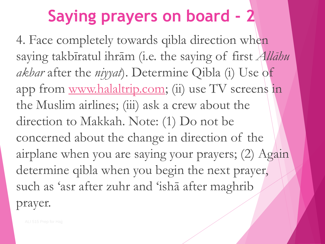4. Face completely towards qibla direction when saying takbīratul ihrām (i.e. the saying of first *Allāhu akbar* after the *niyyat*). Determine Qibla (i) Use of app from [www.halaltrip.com;](http://www.halaltrip.com/) (ii) use TV screens in the Muslim airlines; (iii) ask a crew about the direction to Makkah. Note: (1) Do not be concerned about the change in direction of the airplane when you are saying your prayers; (2) Again determine qibla when you begin the next prayer, such as 'asr after zuhr and 'ishā after maghrib prayer.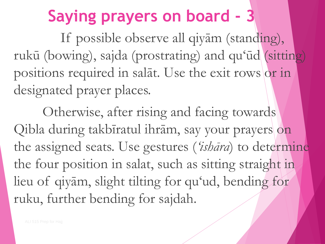If possible observe all qiyām (standing), rukū (bowing), sajda (prostrating) and qu'ūd (sitting) positions required in salāt. Use the exit rows or in designated prayer places.

Otherwise, after rising and facing towards Qibla during takbīratul ihrām, say your prayers on the assigned seats. Use gestures (*'ishāra*) to determine the four position in salat, such as sitting straight in lieu of qiyām, slight tilting for qu'ud, bending for ruku, further bending for sajdah.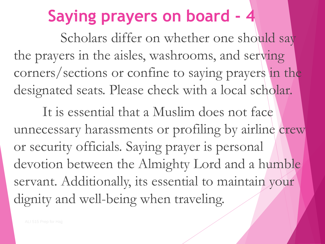Scholars differ on whether one should say the prayers in the aisles, washrooms, and serving corners/sections or confine to saying prayers in the designated seats. Please check with a local scholar.

It is essential that a Muslim does not face unnecessary harassments or profiling by airline crew or security officials. Saying prayer is personal devotion between the Almighty Lord and a humble servant. Additionally, its essential to maintain your dignity and well-being when traveling.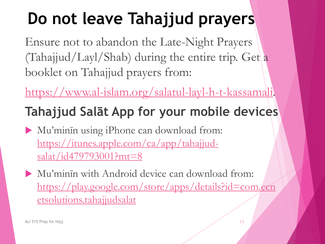# **Do not leave Tahajjud prayers**

Ensure not to abandon the Late-Night Prayers (Tahajjud/Layl/Shab) during the entire trip. Get a booklet on Tahajjud prayers from:

[https://www.al-islam.org/salatul-layl-h-t-kassamali.](https://www.al-islam.org/salatul-layl-h-t-kassamali)

#### **Tahajjud Salāt App for your mobile devices**

 Mu'minīn using iPhone can download from: [https://itunes.apple.com/ca/app/tahajjud](https://itunes.apple.com/ca/app/tahajjud-salat/id479793001?mt=8)salat/id479793001?mt=8

 Mu'minīn with Android device can download from: [https://play.google.com/store/apps/details?id=com.ecn](https://play.google.com/store/apps/details?id=com.ecnetsolutions.tahajjudsalat) etsolutions.tahajjudsalat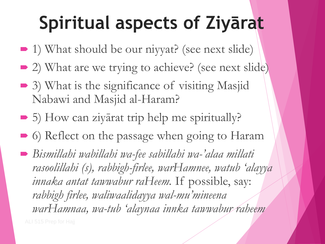# **Spiritual aspects of Ziyārat**

- 1) What should be our niyyat? (see next slide)
- 2) What are we trying to achieve? (see next slide)
- 3) What is the significance of visiting Masjid Nabawi and Masjid al-Haram?
- 5) How can ziyārat trip help me spiritually?
- 6) Reflect on the passage when going to Haram
- *Bismillahi wabillahi wa-fee sabillahi wa-'alaa millati rasoolillahi (s), rabbigh-firlee, warHamnee, watub 'alayya innaka antat tawwabur raHeem.* If possible, say: *rabbigh firlee, waliwaalidayya wal-mu'mineena warHamnaa, wa-tub 'alaynaa innka tawwabur raheem*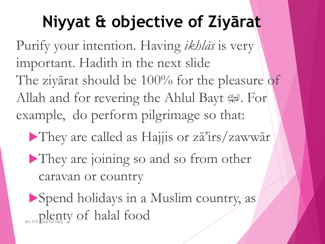# **Niyyat & objective of Ziyārat**

Purify your intention. Having *ikhlās* is very important. Hadith in the next slide The zivārat should be 100% for the pleasure of Allah and for revering the Ahlul Bayt التي . For example, do perform pilgrimage so that: They are called as Hajjis or zā'irs/zawwār They are joining so and so from other caravan or country

Spend holidays in a Muslim country, as ALI 515 Prep for Hajity of halal food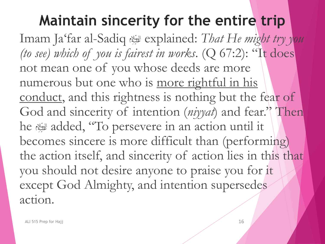#### **Maintain sincerity for the entire trip**

Imam Ja'far al-Sadiq المعيّنة explained: *That He might try you (to see) which of you is fairest in works*. (Q 67:2): "It does not mean one of you whose deeds are more numerous but one who is more rightful in his conduct, and this rightness is nothing but the fear of God and sincerity of intention (*niyyat*) and fear." Then he a added, "To persevere in an action until it becomes sincere is more difficult than (performing) the action itself, and sincerity of action lies in this that you should not desire anyone to praise you for it except God Almighty, and intention supersedes action.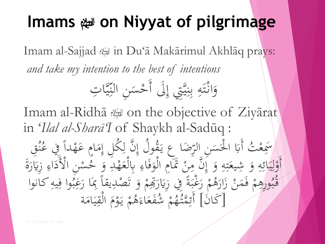## **Imams**  $\omega$  **on Niyyat of pilgrimage**

Imam al-Sajjad التَّبَيْعُ in Du'ā Makārimul Akhlāq prays:

*and take my intention to the best of intentions*

تبديد<br>منذ يك<br>بد س<br>م وَانْتَهِ بِنِيَّتِي إِلَى أَحْسَنِ النِّيَّاتِ <u>ل</u>  $\overline{\phantom{a}}$ **๎**  $\sqrt{\frac{1}{2}}$  $\int\limits_{\mathcal{L}}$ يك<br>ج .<br>.<br>. .<br>مخير ر<br>بر ب<br>ب 4  $\frac{1}{2}$ بر بود<br>تاريخ ز<br>ل َ <u>با</u><br>ا

Imam al-Ridhā di on the objective of Ziyārat in '*Ilal al-Sharā'I* of Shaykh al-Sadūq :

ضًا ع يَقُولُ<br>سير و يا:<br>'  $\ddot{\phantom{0}}$ ں<br>پر ه ثٌ أَبَا الْحَسَنِ الَّتِرْ  $\frac{1}{2}$ .<br>.<br>. <u>ا</u><br>ح ا ِ<br>پ ەت<br>. سَمَعْتُ أَبَا الْحَسَنِ الرِّضَا عِ يَقُولُ إِنَّ لِكُل إِمَامٍ عَهْداً فِي عُنُقِ<br>إِنَّ الْحَسَنِ الرِّضَا عِ يَقُولُ إِنَّ لِكُلٍّ إِمَامٍ عَهْداً فِي عُنُقِ إ  $\overline{\mathsf{I}}$  $\sum$  $\lambda$  $\int\limits_{\mathcal{L}}$  $\begin{matrix} \circ \\ \circ \end{matrix}$ e **ک** و<br>م و<br>ح ا أَوْلِيَائِهِ وَ شِيعَتِهِ وَ إِنَّ مِنْ تَمَامِ الْوَفَاءِ بِالْعَهْدِ وَ خُسْنِ الْأَ  $\overline{\phantom{0}}$  $\ddot{\bm{\zeta}}$ ا<br>المسابق<br>المسابق<br>المسابق<br>المسابق<br>المسابق  $\frac{1}{2}$  $\frac{1}{2}$ إ ہ<br>و 4 <u>بر</u><br>بر **تبلا** ال<br>ا َ 4 م<br>گ  $\frac{1}{2}$ با بار بار <u>ل</u><br>إ ل **0<br>
2<br>
2<br>
2<br>
1<br>
2<br>
1<br>
1<br>
2<br>
1<br><br><br>
1<br><br><br><br>** ر<br>بر<br>بر م<br>م ح و ہ<br>پر ا<br>فيكر<br>و لْوَفَاءِ بِالْعَهْدِ وَ خُسْنِ الْأَدَاءِ زِيَارَةَ السم<br>السمار<br>السمار  $\int$  $\zeta$ <u>ہ</u> ەر<br>ئ ل<br>ا ر<br>، ِ<br>په  $\zeta$  $\overline{\phantom{a}}$ ر<br>ر مْ رَغْبَةً فِي زِيَارَ: ِ<br>بالأ ë<br>. ِ<br>په در ر<br>.<br>. ر<br>I **֟** ھ<br>و ورهمْ فَمَنْ زَارَهُ ر<br>پ ز<br>ا ا<br>المسابق<br>المسابق<br>المسابق<br>المسابق<br>المسابق  $\blacktriangle$ <u>ة</u> **1** .<br>ه پور<br>قبر بمر **∤** و<br>بر <u>صْ</u>دِيقاً <sub>كِ</sub>مَا رَغِ ل<br>..  $\overline{\phantom{0}}$  $\ddot{\phantom{a}}$  $\frac{1}{c}$ مْ وَ تَصْ<br>ما گ ر:<br>ن و<br>ر **ا** ر<br>قرانها تِّهْمْ وَ تَصْدِيقاً مِمَا رَغِبُوا فِيهِ كانوا  $\overline{4}$  $\frac{1}{2}$ [كَانَ] أَئِمَّتُهُمْ شُفَعَاءَهُمْ يَوْمَ الْقِ  $\ddot{\zeta}$  $\frac{1}{2}$  $\frac{1}{2}$ **E** ل<br>ا م **م** يا<br>. **1 ه** ه شُفَعَاءَ*هُ*<br>م  $\zeta$ ال<br>ا  $\ddot{\mathcal{L}}$ **€** ه بر<br>ا أَئِمَّتُهُمْ شُفَعَاءَهُمْ يَوْمَ الْقِيَامَة م<br>گ  $\mathbf{A}$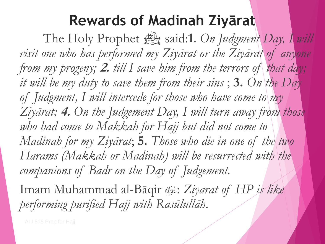#### **Rewards of Madinah Ziyārat**

The Holy Prophet  $\frac{1}{2}$ , said:1. *On Judgment Day, I will visit one who has performed my Ziyārat or the Ziyārat of anyone from my progeny;* **2.** *till I save him from the terrors of that day; it will be my duty to save them from their sins* ; **3.** *On the Day of Judgment, I will intercede for those who have come to my Ziyārat;* **4.** *On the Judgement Day, I will turn away from those who had come to Makkah for Hajj but did not come to Madinah for my Ziyārat*; **5.** *Those who die in one of the two Harams (Makkah or Madinah) will be resurrected with the companions of Badr on the Day of Judgement.*  Imam Muhammad al-Bāqir a: *Ziyārat of HP is like performing purified Hajj with Rasūlullāh*.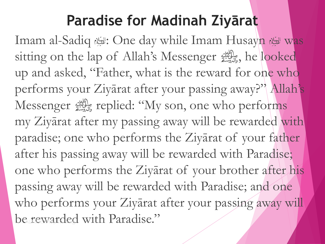#### **Paradise for Madinah Ziyārat**

Imam al-Sadiq المتيلا: One day while Imam Husayn المتيلا was sitting on the lap of Allah's Messenger المرينية. he looked up and asked, "Father, what is the reward for one who performs your Ziyārat after your passing away?" Allah's Messenger if replied: "My son, one who performs my Ziyārat after my passing away will be rewarded with paradise; one who performs the Ziyārat of your father after his passing away will be rewarded with Paradise; one who performs the Ziyārat of your brother after his passing away will be rewarded with Paradise; and one who performs your Ziyārat after your passing away will be rewarded with Paradise."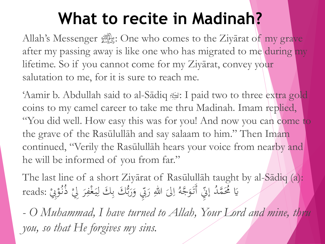## **What to recite in Madinah?**

Allah's Messenger 2: One who comes to the Ziyārat of my grave after my passing away is like one who has migrated to me during my lifetime. So if you cannot come for my Ziyārat, convey your salutation to me, for it is sure to reach me.

'Aamir b. Abdullah said to al-Sādiq a: I paid two to three extra gold coins to my camel career to take me thru Madinah. Imam replied, "You did well. How easy this was for you! And now you can come to the grave of the Rasūlullāh and say salaam to him." Then Imam continued, "Verily the Rasūlullāh hears your voice from nearby and he will be informed of you from far."

The last line of a short Ziyārat of Rasūlullāh taught by al-Sādiq (a): نٍّ وَرَبُّكَ بِكَ لِيَغْفِرَ لِيْ ذُنُوْبِيْ :reads بڑ<br>باند  $\frac{1}{2}$ َ ه َّب لیَ اللّٰہِ رَ  $\zeta$  $\overline{a}$ ا ام<br>ا يَا مُحَمَّدُ إِنِّي أَتَوَجَّهُ إلىَ اللهِ رَبِّي وَرَبُّكَ بِكَ لِيَغْفِرَ لِيْ ذُنُوْبِيْ َ إ <u>َ):</u>  $\sum_{i=1}^{n}$ **م**ر<br>ر  $\left($ ر<br>( .<br>م **ف**<br>ف  $\frac{1}{2}$ <u>ل</u><br>أ ِ<br>ب ب

*- O Muhammad, I have turned to Allah, Your Lord and mine, thru you, so that He forgives my sins.*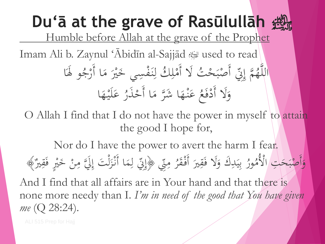# **Du'ā at the grave of Rasūlullāh** 2

Humble before Allah at the grave of the Prophet

Imam Ali b. Zaynul 'Abidīn al-Sajjād لتَّبَيْع used to read

 $\dot{\phantom{1}}$ ثُ لَا أَمْلِكُ لِنَفْسِي خَ **ٔ**<br>م <u>ل</u><br>ا  $\overline{1}$ **A** <u>ة</u> تِي أَصْبَحْ  $\ddot{\cdot}$ ْ ه م الخليج<br>م الحر  $\int\limits_{\mathcal{L}}$ إ **€** اللَّهُمَّ إِنِّي أَصْبَحْتُ لَا أَمْلِكُ لِنَفْسِي خَيْرَ مَا أَرْجُو لَهَا ُ<br>سا ار<br>ا ج ر ا أَ م ري <u>لا</u>  $\mathbf{A}$ ُر<br>ر الم<br>المراجع<br>المراجع عَلَيْهَا َ  $\ddot{\phantom{0}}$  $\frac{1}{2}$ **ک** ر<br>ا عَنْهَا شَرَّ مَا أَحْذَرُ .<br>ل  $\overline{a}$  $\lambda$ نہ<br>نہ **ائی**  $\frac{1}{2}$ **ک**  $\bigwedge$ ع ف د ََّل أَ و <u>ة</u><br>-ْ َ

O Allah I find that I do not have the power in myself to attain the good I hope for,

Nor do I have the power to avert the harm I fear. بأن **ه دی** س<br>مني لَّكَ وَلَا فَقِيرَ أَفْقَرُ <u>ة</u> ُس<br>س ا<br>مار<br>مار َ  $\frac{1}{2}$  $\frac{1}{2}$ ْ<br>ب ب ر<br>ا ور  $\mathcal{A}$ لتِ الْأَثْمُ ا<br>ا وَأَصْبَحَتِ الْأُمُورُ بِيَدِكَ وَلَا فَقِيرَ أَفْقَرُ مِنّي ﴿إِنِّي لِمَا أَنْزَلْتَ إِلَيَّ مِنْ خَيْرٍ **A** َ  $\sum_{i=1}^{n}$  $\mathbf{A}$  $\int\limits_{\mathcal{L}}$ ؚ<br>ؚ ل َ ز<br>ن  $\blacklozenge$  $\overline{\mathsf{I}}$  $\sum$ ﴿ إِنِّي لِمَا أَنْزَلْتَ إِلَيَّ مِنْ خَيْرٍ فَقِيرٌ﴾ ا<br>مار<br>مار

And I find that all affairs are in Your hand and that there is none more needy than I. *I'm in need of the good that You have given me* (Q 28:24).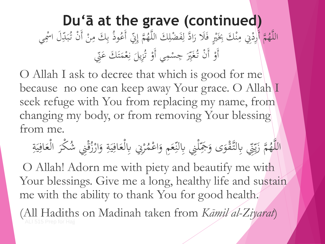#### **Du'ā at the grave (continued)** مَّ أَلْوْنِي مِنْكَ بِخَيْرٍ فَلَا رَادَّ لِفَضْلِكَ اللَّ  $\overline{1}$ <u>ل</u> ر<br>ا  $\frac{1}{2}$ **M** ه<br>نم  $\mathbf{A}$ ْ **€** اللَّهُمَّ أَرْدِي مِنْكَ بِخَيْرٍ فَلَا رَادَّ لِفَضْلِكَ اللَّهُمَّ إِنِّي أَعُوذُ بِكَ مِنْ أَنْ تُبَدِّلَ اسْمِ **،** ں<br>ب بد ْ ْ  $\mathbf{A}$ ڔ<br>ڋ ب  $\int$ إ **€** هُمَّ إِنِّي أَعُوذُ بِكَ مِنْ أَنْ تُبَدِّلُ اسْمِي بذ أَوْ أَنْ تُغَيِّرَ جِسْمِي أَوْ تُزِيلَ نِعْمَتَكَ عَنِّي  $\tilde{\mathbf{r}}$  $\blacklozenge$ **a** .<br>ن في المراجع<br>مراجع  $\overline{\phantom{0}}$ بر<br>ت ۠ ا<br>ا  $\overline{a}$ س<br>پر ْ **ہ**<br>ر

O Allah I ask to decree that which is good for me because no one can keep away Your grace. O Allah I seek refuge with You from replacing my name, from changing my body, or from removing Your blessing from me.

السم<br>السمار<br>السمار لّنِي بِالنِّعَ س<br>بد  $\downarrow$ ِ<br>آه يِّ بِالتَّقْوَى وَجَمِّ َ **ة**<br>م **مار**<br>مار س<br>ينبي<br>تركيب بة زَيّن<br>م<br>م ر ر ز de de la company de la company de la company de la company de la company de la company de la company de la company de la company de la company de la company de la company de la company de la company de la company de la com اللَّهُمَّ زَيِّنِّي بِالتَّقْوَى وَجَمَّلْنِي بِالنِّعَمِ وَاعْمُرْنِي بِالْعَافِيَةِ وَارْزُقْنِي شُ <u>ٔ</u> ر<br>( َ <u>بة</u>  $\frac{1}{2}$  $\frac{1}{2}$ .<br>في السم<br>السمار<br>السمار </sub><br>أ ر<br>( **△** مِ وَاعْمُرْنِي بِالْعَافِيَةِ وَارْزُقْنِي شُكْرَ الْعَافِيَةِ **ک** َ <u>بة</u>  $\frac{1}{2}$  $\frac{1}{2}$ .<br>في السم<br>السمار<br>السمار ل<br>ا ر<br>(

O Allah! Adorn me with piety and beautify me with Your blessings. Give me a long, healthy life and sustain me with the ability to thank You for good health.

(All Hadiths on Madinah taken from *Kāmil al-Ziyarat*)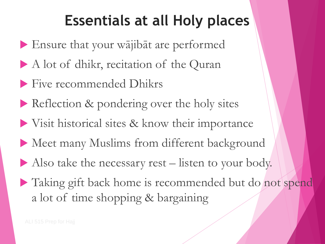### **Essentials at all Holy places**

- Ensure that your wājibāt are performed
- A lot of dhikr, recitation of the Quran
- Five recommended Dhikrs
- Reflection & pondering over the holy sites
- Visit historical sites & know their importance
- Meet many Muslims from different background
- Also take the necessary rest listen to your body.
- Taking gift back home is recommended but do not spend a lot of time shopping & bargaining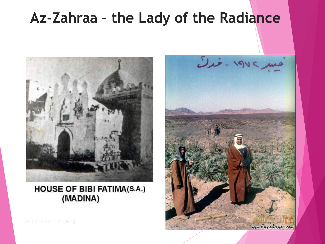#### **Az-Zahraa – the Lady of the Radiance**



#### **HOUSE OF BIBI FATIMA(S.A.)** (MADINA)

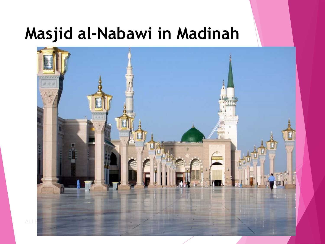## **Masjid al-Nabawi in Madinah**

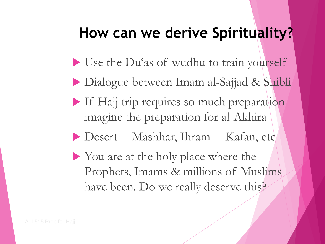#### **How can we derive Spirituality?**

- Use the Du'as of wudhu to train yourself
- Dialogue between Imam al-Sajjad & Shibli
- If Hajj trip requires so much preparation imagine the preparation for al-Akhira
- $\blacktriangleright$  Desert = Mashhar, Ihram = Kafan, etc
- You are at the holy place where the Prophets, Imams & millions of Muslims have been. Do we really deserve this?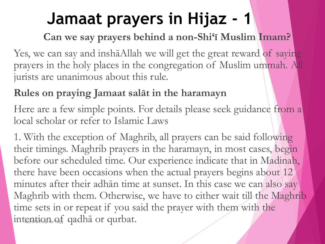## **Jamaat prayers in Hijaz - 1**

#### **Can we say prayers behind a non-Shi'ī Muslim Imam?**

Yes, we can say and inshāAllah we will get the great reward of saying prayers in the holy places in the congregation of Muslim ummah. All jurists are unanimous about this rule.

#### **Rules on praying Jamaat salāt in the haramayn**

Here are a few simple points. For details please seek guidance from a local scholar or refer to Islamic Laws

1. With the exception of Maghrib, all prayers can be said following their timings. Maghrib prayers in the haramayn, in most cases, begin before our scheduled time. Our experience indicate that in Madinah, there have been occasions when the actual prayers begins about 12 minutes after their adhān time at sunset. In this case we can also say Maghrib with them. Otherwise, we have to either wait till the Maghrib time sets in or repeat if you said the prayer with them with the intention of qadha or qurbat.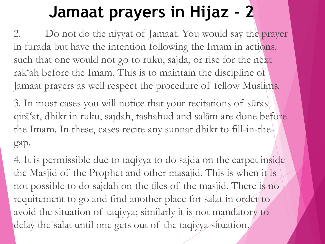## **Jamaat prayers in Hijaz - 2**

2. Do not do the niyyat of Jamaat. You would say the prayer in furada but have the intention following the Imam in actions, such that one would not go to ruku, sajda, or rise for the next rak'ah before the Imam. This is to maintain the discipline of Jamaat prayers as well respect the procedure of fellow Muslims.

3. In most cases you will notice that your recitations of sūras qirā'at, dhikr in ruku, sajdah, tashahud and salām are done before the Imam. In these, cases recite any sunnat dhikr to fill-in-thegap.

4. It is permissible due to taqiyya to do sajda on the carpet inside the Masjid of the Prophet and other masajid. This is when it is not possible to do sajdah on the tiles of the masjid. There is no requirement to go and find another place for salāt in order to avoid the situation of taqiyya; similarly it is not mandatory to delay the salat until one gets out of the taqiyya situation.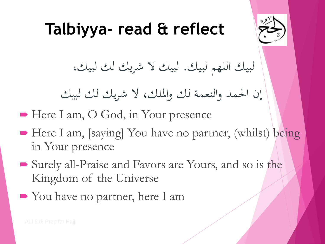

## **Talbiyya- read & reflect**

لبيك اللهم لبيك. لبيك َّل شِضك لك لبيك،

إن الحمد والنعمة لك والملك، لا شريك لك لبيك

- Here I am, O God, in Your presence
- Here I am, [saying] You have no partner, (whilst) being in Your presence
- Surely all-Praise and Favors are Yours, and so is the Kingdom of the Universe
- You have no partner, here I am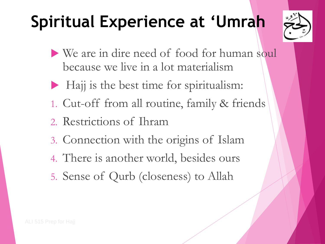# **Spiritual Experience at 'Umrah**



- We are in dire need of food for human soul because we live in a lot materialism
- Hajj is the best time for spiritualism:
- 1. Cut-off from all routine, family & friends
- 2. Restrictions of Ihram
- 3. Connection with the origins of Islam
- 4. There is another world, besides ours
- 5. Sense of Qurb (closeness) to Allah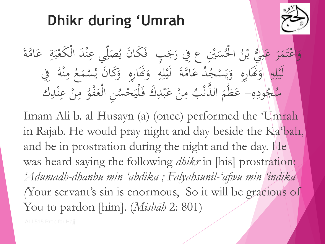#### **Dhikr during 'Umrah**

يّ مَبِين<br>م س .<br>أ <u>اُم</u> <u>ئا</u> ا <u>ं</u> ن <u>ب</u><br>. ه<br>بر ن<br>پا وَاعْتَمَرَ عَلَيْ بْنُ الْحُسَيْنِ عِ فِي رَجَبٍ ۖ فَكَانَ يُصَلِّي عِنْدَ الْ  $\overline{\mathbf{r}}$ کی<br>ا ر<br>سا  $\lambda$  $\ddot{\lambda}$ ا /<br>م<br>1<br><br><br><br><br><br><br><br><br><br><br><br><br><br><br><br><br><br><br> **ک** َ َ ل<br>ا  $\overline{\phantom{a}}$  $\frac{1}{2}$ ه<br>ن<br>ن س<br>|<br>|  $\overline{\phantom{a}}$ یا<br>۔ َجَبٍ ۖ فَكَانَ يُصَلِّي عِنْدَ الْكَعْبَةِ ۚ عَامَّةَ ن<br>ب  $\overline{a}$  $\boldsymbol{\zeta}$ ن<br>ن **ک ئة**  $\ddot{\cdot}$ بد ْ  $\ddot{\phantom{0}}$ ه<br>به <u>ل</u>' ل ن<br>ن لُّہُ عَامَّةَ<br>م **ک** الا<br>الأ لِهِ وَهَارِهِ وَيَسْجُدُ عَامَّةَ لَيْلِهِ وَهَارِهِ وَكَانَ يُسْمَعُ مِ ا<br>ا ِ<br>:<br>. ر کالج ہ<br>!<br>.  $\dot{\bm{\delta}}$ َ 4  $\overline{\mathsf{I}}$ **ّٰٰ**  $\frac{1}{2}$ ڵ<br>ؚ ل  $\mathbf{A}$  $\bigwedge$ ع م س  $\sum_{i=1}^{n}$ ا<br>.<br>. ب<br>ہ لِهِ وَهَارِهِ وَكَانَ يُسْمَعُ مِنْهُ فِي .<br>.<br>. و<br>.  $\dot{\acute{\delta}}$ َ ~<br>|<br>|  $\overline{\mathbf{r}}$ ہے<br>ہ ه<br>لم **فیلم** ه<br>نم  $\overline{0}$ ه ود  $\frac{1}{2}$  $\sqrt{2}$ ج  $\sum_{i=1}^{n}$ سُجُودِهِ– عَظَمَ  $\mathfrak{g}$ المية المناطقية المناطقية المناطقية المناطقية المناطقية المناطقية المناطقية المناطقية المناطقية المناطقية المن<br>المناطقية الذَّنْبُ مِنْ عَبْدِكَ فَلْيَحْسُنِ الْعَفْوُ مِنْ عِ .<br>ئا ْ ْ  $\ddot{\cdot}$ ا<br>ا  $\frac{1}{\sigma}$  $\ddot{\phantom{1}}$ ه<br>.<br>. ا<br>المسابق<br>المسابق<br>المسابق<br>المسابق<br>المسابق ً<br>م ہ<br>ر نِ الْعَفْوُ **ٔ**<br>م ال<br>ا ل<br>ا **∕** يَحْسُنِ الْعَفْوُ مِنْ عِنْدِكَ **๎**  $\frac{1}{2}$ 

Imam Ali b. al-Husayn (a) (once) performed the 'Umrah in Rajab. He would pray night and day beside the Ka'bah, and be in prostration during the night and the day. He was heard saying the following *dhikr* in [his] prostration: *'Adumadh-dhanbu min 'abdika ; Falyahsunil-'afwu min 'indika (*Your servant's sin is enormous, So it will be gracious of You to pardon [him]. (*Misbāh* 2: 801)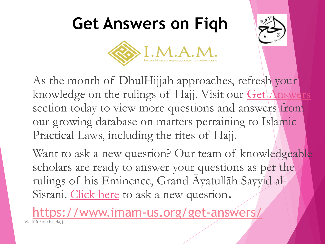## **Get Answers on Fiqh**





As the month of DhulHijjah approaches, refresh your knowledge on the rulings of Hajj. Visit our [Get Answers](https://connect.imam-us.org/acton/ct/26493/s-004e-1707/Bct/l-0a8c/l-0a8c:a13f/ct2_0/1?sid=TV2%3AZrvcWCaNc) section today to view more questions and answers from our growing database on matters pertaining to Islamic Practical Laws, including the rites of Hajj.

Want to ask a new question? Our team of knowledgeable scholars are ready to answer your questions as per the rulings of his Eminence, Grand Āyatullāh Sayyid al-Sistani. [Click here](https://connect.imam-us.org/acton/ct/26493/s-004e-1707/Bct/l-0a8c/l-0a8c:a13f/ct3_0/1?sid=TV2%3AZrvcWCaNc) to ask a new question.

<https://www.imam-us.org/get-answers/> ALI 515 Prep for Hajj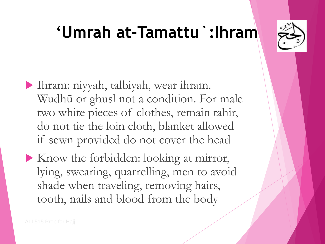## **'Umrah at-Tamattu`:Ihram**

 Ihram: niyyah, talbiyah, wear ihram. Wudhū or ghusl not a condition. For male two white pieces of clothes, remain tahir, do not tie the loin cloth, blanket allowed if sewn provided do not cover the head

 Know the forbidden: looking at mirror, lying, swearing, quarrelling, men to avoid shade when traveling, removing hairs, tooth, nails and blood from the body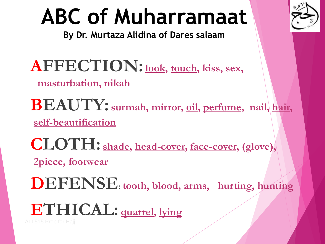# **ABC of Muharramaat**

**By Dr. Murtaza Alidina of Dares salaam**

**AFFECTION:look, touch, kiss, sex, masturbation, nikah** 

**BEAUTY: surmah, mirror, oil, perfume, nail, hair, self-beautification**

**CLOTH: shade, head-cover, face-cover, (glove), 2piece, footwear**

**DEFENSE: tooth, blood, arms, hurting, hunting** 

**ETHICAL: quarrel, lying**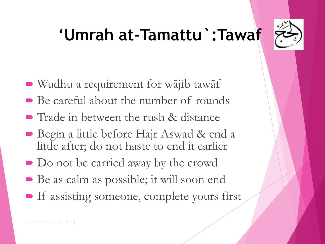## **'Umrah at-Tamattu`:Tawaf**

- Wudhu a requirement for wājib tawāf
- Be careful about the number of rounds
- Trade in between the rush & distance
- Begin a little before Hajr Aswad & end a little after; do not haste to end it earlier
- $\blacksquare$  Do not be carried away by the crowd
- Be as calm as possible; it will soon end
- **If assisting someone, complete yours first**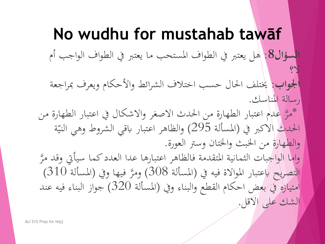#### **No wudhu for mustahab tawāf السؤال**:**8** هل ضعتْب ف الطواف املستحب ما ضعتْب ف الطواف الواجب أم َّل؟ **اجلواب**: خيتلِ اْلال حسب اختاف الشِائط والحكام وضعِف ِبِاجعة رسالة املناسك. مَّ عليهم اعتبار الطهارة من الحدث الأصغر والأشكال في اعتبار الطهارة من"<br>مُسَّمِّ عليهم الله عليه من الحدث الحدث الاكبر في (المسألة 295) ا<br>با<br>با والظاهِ اعتبار ِبقي الشِوط وهي النية والطهارة من الخبث والختان وستر العورة. َّ واما الواجبا الثمانية املتقدمة فالظاهِ اعتبارها عدا العدد كما س يأيت وقد مِ التصريح باعتبار الموالاة فيه في (المسألة 308) ومرَّ فيها وفي (المسألة 310)<br>التصريح باعتبار الموالاة فيه في (المسألة 308) امتيازه ف بعض احكام القطع والبناء وف )املسألة 320( جواز البناء فيه عند الشك على اَّلقل.

ALI 515 Prep for Hajj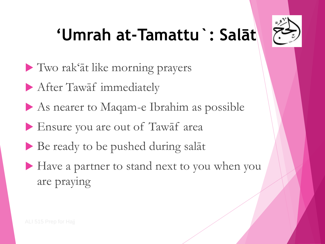## **'Umrah at-Tamattu`: Salāt**

- Two rak'āt like morning prayers
- After Tawāf immediately
- As nearer to Maqam-e Ibrahim as possible
- Ensure you are out of Tawāf area
- Be ready to be pushed during salāt
- Have a partner to stand next to you when you are praying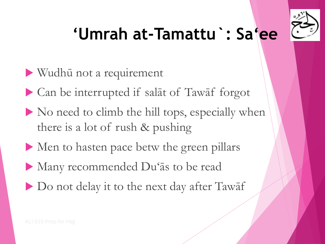

# **'Umrah at-Tamattu`: Sa'ee**

- Wudhū not a requirement
- Can be interrupted if salāt of Tawāf forgot
- $\blacktriangleright$  No need to climb the hill tops, especially when there is a lot of rush & pushing
- Men to hasten pace betw the green pillars
- Many recommended Du'ās to be read
- Do not delay it to the next day after Tawar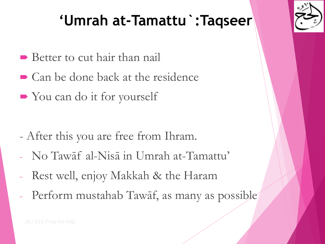### **'Umrah at-Tamattu`:Taqseer**

- Better to cut hair than nail
- Can be done back at the residence
- You can do it for yourself

- After this you are free from Ihram.
- No Tawāf al-Nisā in Umrah at-Tamattu'
- Rest well, enjoy Makkah & the Haram
- Perform mustahab Tawāf, as many as possible